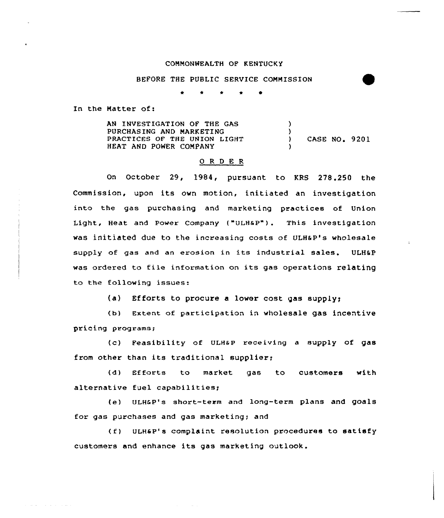## CONMQNWEALTH OF KENTUCKY

## BEFORE THE PUBLIC SERVICE COMMISSION

\* \* \* e <sup>~</sup>

In the Natter of:

a consideration of the construction

AN INVESTIGATION QF THE GAS PURCHASING AND MARKETING PRACTICES OF THE UNION LIGHT HEAT AND POWER COMPANY )  $\left\{ \right.$ ) CASE NO <sup>~</sup> 9201 )

## 0 <sup>R</sup> <sup>D</sup> E R

On October 29, 2984, pursuant to KRS 278.250 the Commission, upon its ovn motion, initiated an investigation into the gas purchasing and marketing practices of Union Light, Heat and Power Company ("ULHaP"). This investigation was initiated due to the increasing costs of ULH&P's wholesale supply of gas and an erosion in its industrial sales. ULHSP was ordered to file information on its gas operations relating to the following issues:

(a) Efforts to procure a lover cost gas supply)

(b) Extent of participation in wholesale gas incentive pricing programs;

(c) Feasibility of ULHaP receiving a supply of gas from other than its traditional supplier;

(d) Efforts to market gas to customers with alternative fuel capabilities;

(e) ULHCP's short-term and long-term plans and goals for gas purchases and gas marketing; and

(f) ULHaP's complaint resolution procedures to satisfy customers and enhance its gas marketing outlook.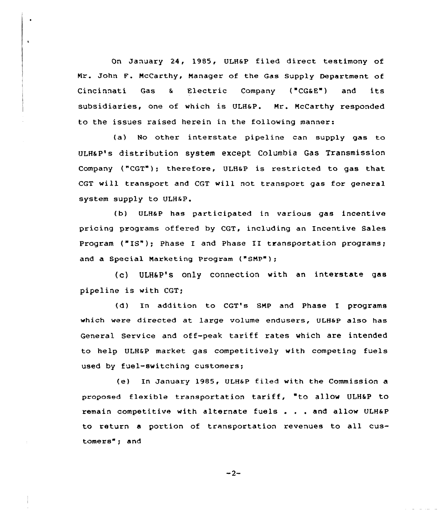On January 24, 1985, ULH&P filed direct testimony of Nr. John F. McCarthy, Manager of the Gas Supply Department of Cincinnati Gas & Electric Company ("CG&E") and its subsidiaries, one of which is ULHsP. Mr. McCarthy responded to the issues raised herein in the following manner:

 $\bullet$ 

 $\pmb{\zeta}$ 

(a) No other interstate pipeline can supply gas to ULHaP's distribution system except Columbia Gas Transmission Company ("CGT"); therefore, ULHaP is restricted to gas that CGT will transport and CGT will not transport gas for general system supply to ULH&P.

(b) ULHaP has participated in various gas incentive pricing programs offered by CGT, including an Incentive Sales Program ("IS"); Phase I and Phase II transportation programs; and a Special Marketing Program ("SMP");

(c) ULH&P's only connection with an interstate gas pipeline is with CGT;

(d) In addition to CGT's SMP and Phase I programs which were directed at large volume endusers, ULH&P also has General Service and off-peak tariff rates which are intended to help ULHEP market gas competitively with competing fuels used by fuel-switching customers;

(e) In January 1985, ULHaP filed with the Commission proposed flexible transportation tariff, "to allow ULH5P to remain competitive with alternate fuels . . . and allow ULHaP to return <sup>a</sup> portion of transportation revenues to all customers"; and

$$
-2-
$$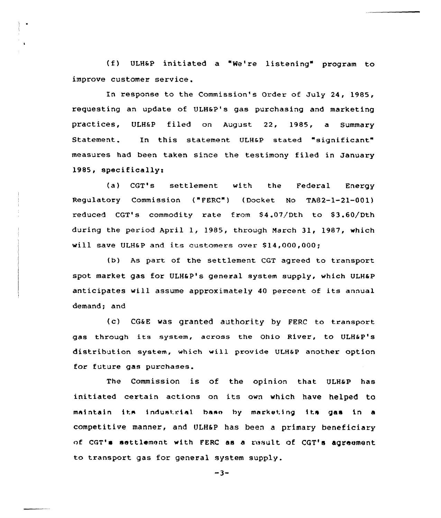(f) ULHSP initiated a "Ne're listening" program to improve customer service.

In response to the Commission's Order of July 24, 1985, requesting an update of ULHsP's gas purchasing and marketing practices, ULH&P filed on August 22, 1985, a Summary Statement. In this statement ULH&P stated "significant" measures had been taken since the testimony filed in January 1985, specifically:

(a} CGT's settlement with the Federal Energy Regulatory Commission ("FERC") (Docket No TA82-1-21-001) reduced CGT's commodity rate from \$4.07/Dth to \$3.60/Dth during the period April 1, 1985, through March 31, 1987, which will save ULH&P and its customers over \$14,000,000:

(b) As part of the settlement CGT agreed to transport spot market gas for ULH6 P's general system supply, which ULHaP anticipates will assume approximately <sup>40</sup> percent of its annual demand; and

(c) CG&E was granted authority by FERC to transport gas through its system, across the Ohio River, to ULH&P's distribution system, which will provide ULH&P another option for future gas purchases.

The Commission is of the opinion that ULHaP has initiated certain actions on its own which have helped to maintain its industrial base by marketing its gas in a competitive manner, and ULHSP has been a primary beneficiary of CGT's settlement with FERC as a result of CGT's agreement to transport gas for general system supply.

 $-3-$